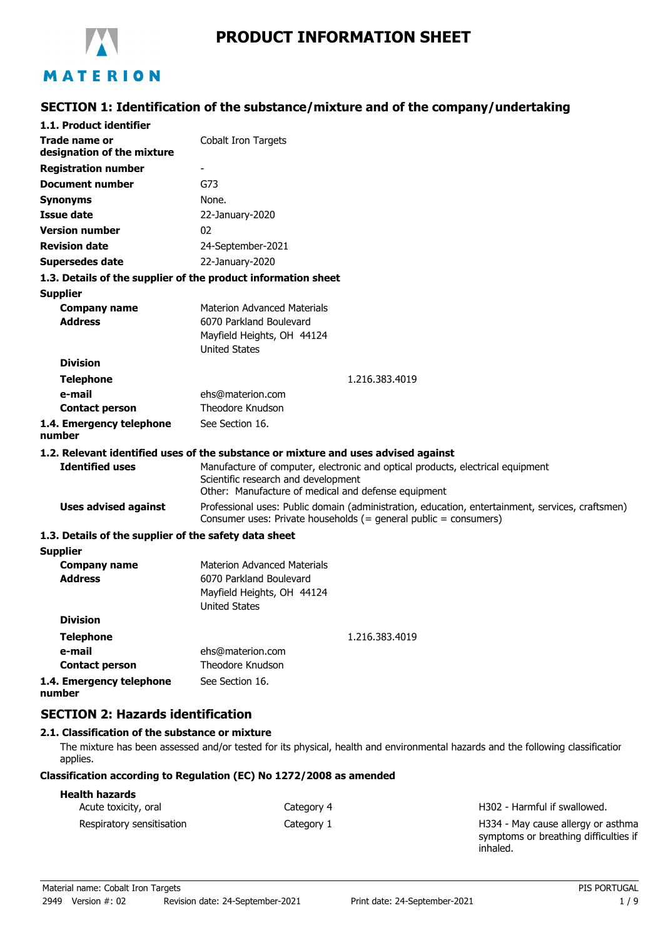

# MATERION

### **SECTION 1: Identification of the substance/mixture and of the company/undertaking**

| 1.1. Product identifier                               |                                                                                                                                                                              |
|-------------------------------------------------------|------------------------------------------------------------------------------------------------------------------------------------------------------------------------------|
| Trade name or<br>designation of the mixture           | Cobalt Iron Targets                                                                                                                                                          |
| <b>Registration number</b>                            |                                                                                                                                                                              |
| <b>Document number</b>                                | G73                                                                                                                                                                          |
| Synonyms                                              | None.                                                                                                                                                                        |
| <b>Issue date</b>                                     | 22-January-2020                                                                                                                                                              |
| <b>Version number</b>                                 | 02                                                                                                                                                                           |
| <b>Revision date</b>                                  | 24-September-2021                                                                                                                                                            |
| <b>Supersedes date</b>                                | 22-January-2020                                                                                                                                                              |
|                                                       | 1.3. Details of the supplier of the product information sheet                                                                                                                |
| <b>Supplier</b>                                       |                                                                                                                                                                              |
| <b>Company name</b><br><b>Address</b>                 | <b>Materion Advanced Materials</b><br>6070 Parkland Boulevard<br>Mayfield Heights, OH 44124<br><b>United States</b>                                                          |
| <b>Division</b>                                       |                                                                                                                                                                              |
| <b>Telephone</b>                                      | 1.216.383.4019                                                                                                                                                               |
| e-mail                                                | ehs@materion.com                                                                                                                                                             |
| <b>Contact person</b>                                 | Theodore Knudson                                                                                                                                                             |
| 1.4. Emergency telephone<br>number                    | See Section 16.                                                                                                                                                              |
|                                                       | 1.2. Relevant identified uses of the substance or mixture and uses advised against                                                                                           |
| <b>Identified uses</b>                                | Manufacture of computer, electronic and optical products, electrical equipment<br>Scientific research and development<br>Other: Manufacture of medical and defense equipment |
| <b>Uses advised against</b>                           | Professional uses: Public domain (administration, education, entertainment, services, craftsmen)<br>Consumer uses: Private households (= general public = consumers)         |
| 1.3. Details of the supplier of the safety data sheet |                                                                                                                                                                              |
| <b>Supplier</b>                                       |                                                                                                                                                                              |
| <b>Company name</b><br><b>Address</b>                 | <b>Materion Advanced Materials</b><br>6070 Parkland Boulevard<br>Mayfield Heights, OH 44124<br><b>United States</b>                                                          |
| <b>Division</b>                                       |                                                                                                                                                                              |
| <b>Telephone</b>                                      | 1.216.383.4019                                                                                                                                                               |
| e-mail                                                | ehs@materion.com                                                                                                                                                             |
| <b>Contact person</b>                                 | Theodore Knudson                                                                                                                                                             |
| 1.4. Emergency telephone<br>number                    | See Section 16.                                                                                                                                                              |

### **SECTION 2: Hazards identification**

#### **2.1. Classification of the substance or mixture**

The mixture has been assessed and/or tested for its physical, health and environmental hazards and the following classification applies.

#### **Classification according to Regulation (EC) No 1272/2008 as amended**

| <b>Health hazards</b>     |            |                                                                                         |
|---------------------------|------------|-----------------------------------------------------------------------------------------|
| Acute toxicity, oral      | Category 4 | H302 - Harmful if swallowed.                                                            |
| Respiratory sensitisation | Category 1 | H334 - May cause allergy or asthma<br>symptoms or breathing difficulties if<br>inhaled. |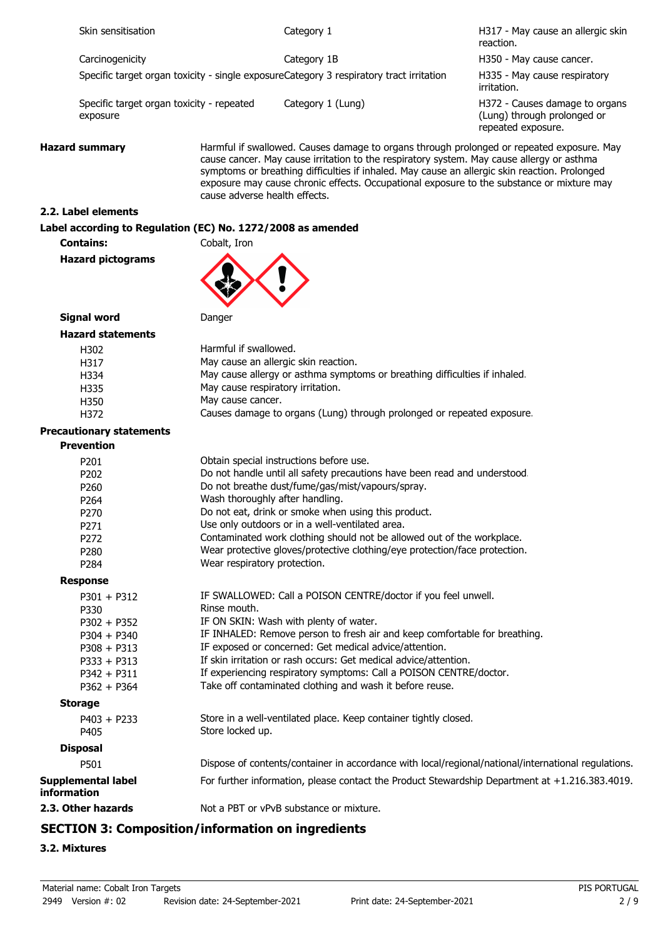| Skin sensitisation                       |                                                             | Category 1                                                                                                                                                                                                                                                                              | H317 - May cause an allergic skin<br>reaction.                                                      |
|------------------------------------------|-------------------------------------------------------------|-----------------------------------------------------------------------------------------------------------------------------------------------------------------------------------------------------------------------------------------------------------------------------------------|-----------------------------------------------------------------------------------------------------|
| Carcinogenicity                          |                                                             | Category 1B                                                                                                                                                                                                                                                                             | H350 - May cause cancer.                                                                            |
|                                          |                                                             | Specific target organ toxicity - single exposureCategory 3 respiratory tract irritation                                                                                                                                                                                                 | H335 - May cause respiratory<br>irritation.                                                         |
| exposure                                 | Specific target organ toxicity - repeated                   | Category 1 (Lung)                                                                                                                                                                                                                                                                       | H372 - Causes damage to organs<br>(Lung) through prolonged or<br>repeated exposure.                 |
| <b>Hazard summary</b>                    | cause adverse health effects.                               | cause cancer. May cause irritation to the respiratory system. May cause allergy or asthma<br>symptoms or breathing difficulties if inhaled. May cause an allergic skin reaction. Prolonged<br>exposure may cause chronic effects. Occupational exposure to the substance or mixture may | Harmful if swallowed. Causes damage to organs through prolonged or repeated exposure. May           |
| 2.2. Label elements                      |                                                             |                                                                                                                                                                                                                                                                                         |                                                                                                     |
|                                          | Label according to Regulation (EC) No. 1272/2008 as amended |                                                                                                                                                                                                                                                                                         |                                                                                                     |
| <b>Contains:</b>                         | Cobalt, Iron                                                |                                                                                                                                                                                                                                                                                         |                                                                                                     |
| <b>Hazard pictograms</b>                 |                                                             |                                                                                                                                                                                                                                                                                         |                                                                                                     |
| <b>Signal word</b>                       | Danger                                                      |                                                                                                                                                                                                                                                                                         |                                                                                                     |
| <b>Hazard statements</b>                 |                                                             |                                                                                                                                                                                                                                                                                         |                                                                                                     |
| H302                                     | Harmful if swallowed.                                       |                                                                                                                                                                                                                                                                                         |                                                                                                     |
| H317                                     |                                                             | May cause an allergic skin reaction.                                                                                                                                                                                                                                                    |                                                                                                     |
| H334                                     |                                                             | May cause allergy or asthma symptoms or breathing difficulties if inhaled.                                                                                                                                                                                                              |                                                                                                     |
| H335                                     | May cause respiratory irritation.                           |                                                                                                                                                                                                                                                                                         |                                                                                                     |
| H350                                     | May cause cancer.                                           |                                                                                                                                                                                                                                                                                         |                                                                                                     |
| H372                                     |                                                             | Causes damage to organs (Lung) through prolonged or repeated exposure.                                                                                                                                                                                                                  |                                                                                                     |
| <b>Precautionary statements</b>          |                                                             |                                                                                                                                                                                                                                                                                         |                                                                                                     |
| <b>Prevention</b>                        |                                                             |                                                                                                                                                                                                                                                                                         |                                                                                                     |
|                                          |                                                             |                                                                                                                                                                                                                                                                                         |                                                                                                     |
| P201                                     |                                                             | Obtain special instructions before use.                                                                                                                                                                                                                                                 |                                                                                                     |
| P202                                     |                                                             | Do not handle until all safety precautions have been read and understood.                                                                                                                                                                                                               |                                                                                                     |
| P260                                     |                                                             | Do not breathe dust/fume/gas/mist/vapours/spray.                                                                                                                                                                                                                                        |                                                                                                     |
| P264                                     |                                                             | Wash thoroughly after handling.                                                                                                                                                                                                                                                         |                                                                                                     |
| P270                                     |                                                             | Do not eat, drink or smoke when using this product.                                                                                                                                                                                                                                     |                                                                                                     |
| P271                                     |                                                             | Use only outdoors or in a well-ventilated area.                                                                                                                                                                                                                                         |                                                                                                     |
| P272                                     |                                                             | Contaminated work clothing should not be allowed out of the workplace.                                                                                                                                                                                                                  |                                                                                                     |
| P280                                     | Wear respiratory protection.                                | Wear protective gloves/protective clothing/eye protection/face protection.                                                                                                                                                                                                              |                                                                                                     |
| P284                                     |                                                             |                                                                                                                                                                                                                                                                                         |                                                                                                     |
| <b>Response</b>                          |                                                             |                                                                                                                                                                                                                                                                                         |                                                                                                     |
| $P301 + P312$                            |                                                             | IF SWALLOWED: Call a POISON CENTRE/doctor if you feel unwell.                                                                                                                                                                                                                           |                                                                                                     |
| P330                                     | Rinse mouth.                                                |                                                                                                                                                                                                                                                                                         |                                                                                                     |
| $P302 + P352$                            |                                                             | IF ON SKIN: Wash with plenty of water.                                                                                                                                                                                                                                                  |                                                                                                     |
| $P304 + P340$                            |                                                             | IF INHALED: Remove person to fresh air and keep comfortable for breathing.                                                                                                                                                                                                              |                                                                                                     |
| $P308 + P313$                            |                                                             | IF exposed or concerned: Get medical advice/attention.                                                                                                                                                                                                                                  |                                                                                                     |
| $P333 + P313$                            |                                                             | If skin irritation or rash occurs: Get medical advice/attention.                                                                                                                                                                                                                        |                                                                                                     |
| $P342 + P311$                            |                                                             | If experiencing respiratory symptoms: Call a POISON CENTRE/doctor.                                                                                                                                                                                                                      |                                                                                                     |
| $P362 + P364$                            |                                                             | Take off contaminated clothing and wash it before reuse.                                                                                                                                                                                                                                |                                                                                                     |
| <b>Storage</b>                           |                                                             |                                                                                                                                                                                                                                                                                         |                                                                                                     |
| $P403 + P233$<br>P405                    | Store locked up.                                            | Store in a well-ventilated place. Keep container tightly closed.                                                                                                                                                                                                                        |                                                                                                     |
| <b>Disposal</b>                          |                                                             |                                                                                                                                                                                                                                                                                         |                                                                                                     |
| P501                                     |                                                             |                                                                                                                                                                                                                                                                                         | Dispose of contents/container in accordance with local/regional/national/international regulations. |
| <b>Supplemental label</b><br>information |                                                             |                                                                                                                                                                                                                                                                                         | For further information, please contact the Product Stewardship Department at +1.216.383.4019.      |
| 2.3. Other hazards                       |                                                             | Not a PBT or vPvB substance or mixture.                                                                                                                                                                                                                                                 |                                                                                                     |
|                                          |                                                             |                                                                                                                                                                                                                                                                                         |                                                                                                     |

# **SECTION 3: Composition/information on ingredients**

### **3.2. Mixtures**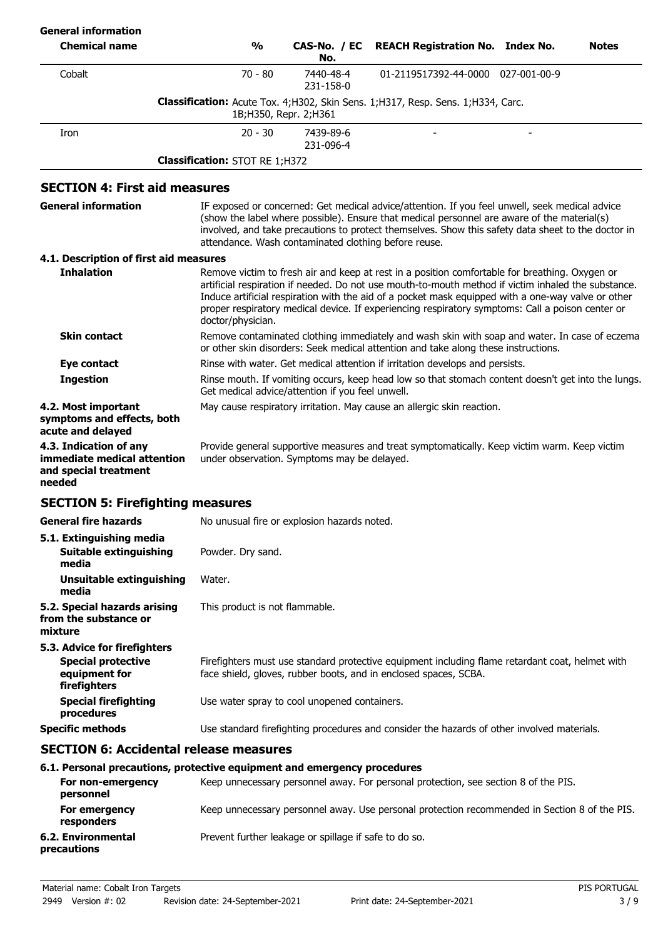| <b>General information</b>                                                               |                                       |                                                      |                                                                                                                                                                                                                                                                                                                                                                                                                 |              |
|------------------------------------------------------------------------------------------|---------------------------------------|------------------------------------------------------|-----------------------------------------------------------------------------------------------------------------------------------------------------------------------------------------------------------------------------------------------------------------------------------------------------------------------------------------------------------------------------------------------------------------|--------------|
| <b>Chemical name</b>                                                                     | $\frac{6}{6}$                         | CAS-No. / EC<br>No.                                  | <b>REACH Registration No. Index No.</b>                                                                                                                                                                                                                                                                                                                                                                         | <b>Notes</b> |
| Cobalt                                                                                   | $70 - 80$                             | 7440-48-4<br>231-158-0                               | 01-2119517392-44-0000 027-001-00-9                                                                                                                                                                                                                                                                                                                                                                              |              |
|                                                                                          |                                       | 1B; H350, Repr. 2; H361                              | <b>Classification:</b> Acute Tox. 4;H302, Skin Sens. 1;H317, Resp. Sens. 1;H334, Carc.                                                                                                                                                                                                                                                                                                                          |              |
| Iron                                                                                     | $20 - 30$                             | 7439-89-6<br>231-096-4                               |                                                                                                                                                                                                                                                                                                                                                                                                                 |              |
|                                                                                          | <b>Classification: STOT RE 1;H372</b> |                                                      |                                                                                                                                                                                                                                                                                                                                                                                                                 |              |
| <b>SECTION 4: First aid measures</b>                                                     |                                       |                                                      |                                                                                                                                                                                                                                                                                                                                                                                                                 |              |
| <b>General information</b>                                                               |                                       | attendance. Wash contaminated clothing before reuse. | IF exposed or concerned: Get medical advice/attention. If you feel unwell, seek medical advice<br>(show the label where possible). Ensure that medical personnel are aware of the material(s)<br>involved, and take precautions to protect themselves. Show this safety data sheet to the doctor in                                                                                                             |              |
| 4.1. Description of first aid measures                                                   |                                       |                                                      |                                                                                                                                                                                                                                                                                                                                                                                                                 |              |
| <b>Inhalation</b>                                                                        | doctor/physician.                     |                                                      | Remove victim to fresh air and keep at rest in a position comfortable for breathing. Oxygen or<br>artificial respiration if needed. Do not use mouth-to-mouth method if victim inhaled the substance.<br>Induce artificial respiration with the aid of a pocket mask equipped with a one-way valve or other<br>proper respiratory medical device. If experiencing respiratory symptoms: Call a poison center or |              |
| <b>Skin contact</b>                                                                      |                                       |                                                      | Remove contaminated clothing immediately and wash skin with soap and water. In case of eczema<br>or other skin disorders: Seek medical attention and take along these instructions.                                                                                                                                                                                                                             |              |
| <b>Eye contact</b>                                                                       |                                       |                                                      | Rinse with water. Get medical attention if irritation develops and persists.                                                                                                                                                                                                                                                                                                                                    |              |
| <b>Ingestion</b>                                                                         |                                       | Get medical advice/attention if you feel unwell.     | Rinse mouth. If vomiting occurs, keep head low so that stomach content doesn't get into the lungs.                                                                                                                                                                                                                                                                                                              |              |
| 4.2. Most important<br>symptoms and effects, both<br>acute and delayed                   |                                       |                                                      | May cause respiratory irritation. May cause an allergic skin reaction.                                                                                                                                                                                                                                                                                                                                          |              |
| 4.3. Indication of any<br>immediate medical attention<br>and special treatment<br>needed |                                       | under observation. Symptoms may be delayed.          | Provide general supportive measures and treat symptomatically. Keep victim warm. Keep victim                                                                                                                                                                                                                                                                                                                    |              |
| <b>SECTION 5: Firefighting measures</b>                                                  |                                       |                                                      |                                                                                                                                                                                                                                                                                                                                                                                                                 |              |
| General fire hazards                                                                     |                                       | No unusual fire or explosion hazards noted.          |                                                                                                                                                                                                                                                                                                                                                                                                                 |              |
| 5.1. Extinguishing media<br>Suitable extinguishing<br>media                              | Powder. Dry sand.                     |                                                      |                                                                                                                                                                                                                                                                                                                                                                                                                 |              |
| Unsuitable extinguishing<br>media                                                        | Water.                                |                                                      |                                                                                                                                                                                                                                                                                                                                                                                                                 |              |
| 5.2. Special hazards arising<br>from the substance or<br>mixture                         | This product is not flammable.        |                                                      |                                                                                                                                                                                                                                                                                                                                                                                                                 |              |
| 5.3. Advice for firefighters                                                             |                                       |                                                      |                                                                                                                                                                                                                                                                                                                                                                                                                 |              |
| <b>Special protective</b><br>equipment for<br>firefighters                               |                                       |                                                      | Firefighters must use standard protective equipment including flame retardant coat, helmet with<br>face shield, gloves, rubber boots, and in enclosed spaces, SCBA.                                                                                                                                                                                                                                             |              |
| <b>Special firefighting</b><br>procedures                                                |                                       | Use water spray to cool unopened containers.         |                                                                                                                                                                                                                                                                                                                                                                                                                 |              |
| <b>Specific methods</b>                                                                  |                                       |                                                      | Use standard firefighting procedures and consider the hazards of other involved materials.                                                                                                                                                                                                                                                                                                                      |              |
| <b>SECTION 6: Accidental release measures</b>                                            |                                       |                                                      |                                                                                                                                                                                                                                                                                                                                                                                                                 |              |
| 6.1. Personal precautions, protective equipment and emergency procedures                 |                                       |                                                      |                                                                                                                                                                                                                                                                                                                                                                                                                 |              |

|                                   | 0.1. Fel solidi precautions, protective equipment and emergency procedures                    |
|-----------------------------------|-----------------------------------------------------------------------------------------------|
| For non-emergency<br>personnel    | Keep unnecessary personnel away. For personal protection, see section 8 of the PIS.           |
| For emergency<br>responders       | Keep unnecessary personnel away. Use personal protection recommended in Section 8 of the PIS. |
| 6.2. Environmental<br>precautions | Prevent further leakage or spillage if safe to do so.                                         |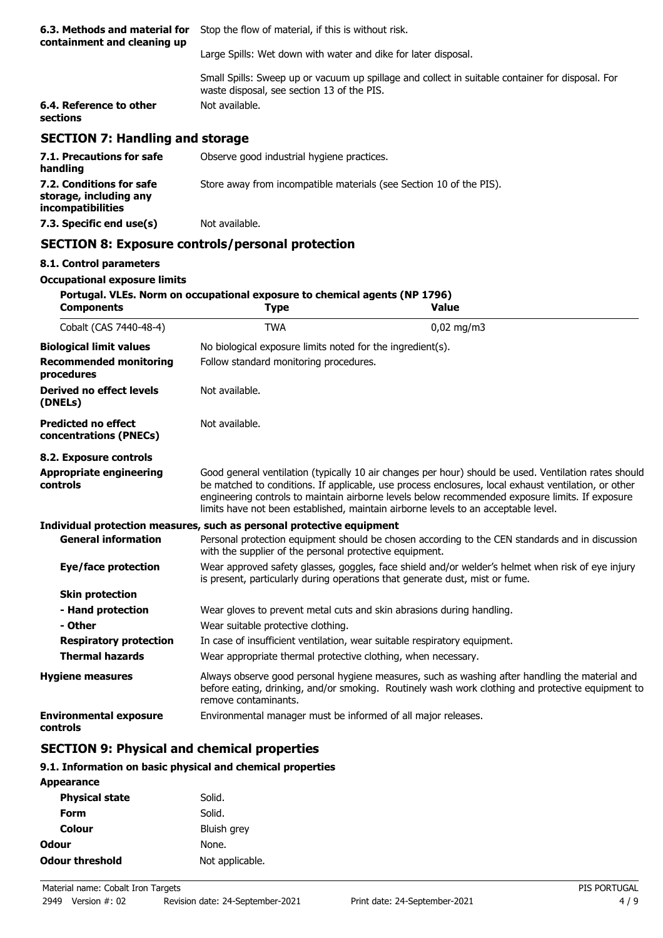| 6.3. Methods and material for<br>containment and cleaning up | Stop the flow of material, if this is without risk.                                                                                            |  |
|--------------------------------------------------------------|------------------------------------------------------------------------------------------------------------------------------------------------|--|
|                                                              | Large Spills: Wet down with water and dike for later disposal.                                                                                 |  |
|                                                              | Small Spills: Sweep up or vacuum up spillage and collect in suitable container for disposal. For<br>waste disposal, see section 13 of the PIS. |  |
| 6.4. Reference to other<br>sections                          | Not available.                                                                                                                                 |  |
| <b>SECTION 7: Handling and storage</b>                       |                                                                                                                                                |  |
| 7.1. Precautions for safe<br>handling                        | Observe good industrial hygiene practices.                                                                                                     |  |
| 7.2. Conditions for safe                                     | Store away from incompatible materials (see Section 10 of the PIS).                                                                            |  |

# **SECTION 8: Exposure controls/personal protection**

**7.3. Specific end use(s)** Not available.

#### **8.1. Control parameters**

**storage, including any incompatibilities**

### **Occupational exposure limits**

| <b>Components</b>                                    | Portugal. VLEs. Norm on occupational exposure to chemical agents (NP 1796)<br><b>Type</b> | <b>Value</b>                                                                                                                                                                                                                                                                                                                                                                                           |
|------------------------------------------------------|-------------------------------------------------------------------------------------------|--------------------------------------------------------------------------------------------------------------------------------------------------------------------------------------------------------------------------------------------------------------------------------------------------------------------------------------------------------------------------------------------------------|
| Cobalt (CAS 7440-48-4)                               | <b>TWA</b>                                                                                | $0,02$ mg/m3                                                                                                                                                                                                                                                                                                                                                                                           |
| <b>Biological limit values</b>                       | No biological exposure limits noted for the ingredient(s).                                |                                                                                                                                                                                                                                                                                                                                                                                                        |
| <b>Recommended monitoring</b><br>procedures          | Follow standard monitoring procedures.                                                    |                                                                                                                                                                                                                                                                                                                                                                                                        |
| Derived no effect levels<br>(DNELs)                  | Not available.                                                                            |                                                                                                                                                                                                                                                                                                                                                                                                        |
| <b>Predicted no effect</b><br>concentrations (PNECs) | Not available.                                                                            |                                                                                                                                                                                                                                                                                                                                                                                                        |
| 8.2. Exposure controls                               |                                                                                           |                                                                                                                                                                                                                                                                                                                                                                                                        |
| <b>Appropriate engineering</b><br>controls           |                                                                                           | Good general ventilation (typically 10 air changes per hour) should be used. Ventilation rates should<br>be matched to conditions. If applicable, use process enclosures, local exhaust ventilation, or other<br>engineering controls to maintain airborne levels below recommended exposure limits. If exposure<br>limits have not been established, maintain airborne levels to an acceptable level. |
|                                                      | Individual protection measures, such as personal protective equipment                     |                                                                                                                                                                                                                                                                                                                                                                                                        |
| <b>General information</b>                           | with the supplier of the personal protective equipment.                                   | Personal protection equipment should be chosen according to the CEN standards and in discussion                                                                                                                                                                                                                                                                                                        |
| Eye/face protection                                  |                                                                                           | Wear approved safety glasses, goggles, face shield and/or welder's helmet when risk of eye injury<br>is present, particularly during operations that generate dust, mist or fume.                                                                                                                                                                                                                      |
| <b>Skin protection</b>                               |                                                                                           |                                                                                                                                                                                                                                                                                                                                                                                                        |
| - Hand protection                                    |                                                                                           | Wear gloves to prevent metal cuts and skin abrasions during handling.                                                                                                                                                                                                                                                                                                                                  |
| - Other                                              | Wear suitable protective clothing.                                                        |                                                                                                                                                                                                                                                                                                                                                                                                        |
| <b>Respiratory protection</b>                        |                                                                                           | In case of insufficient ventilation, wear suitable respiratory equipment.                                                                                                                                                                                                                                                                                                                              |
| <b>Thermal hazards</b>                               | Wear appropriate thermal protective clothing, when necessary.                             |                                                                                                                                                                                                                                                                                                                                                                                                        |
| <b>Hygiene measures</b>                              | remove contaminants.                                                                      | Always observe good personal hygiene measures, such as washing after handling the material and<br>before eating, drinking, and/or smoking. Routinely wash work clothing and protective equipment to                                                                                                                                                                                                    |
| <b>Environmental exposure</b><br>controls            | Environmental manager must be informed of all major releases.                             |                                                                                                                                                                                                                                                                                                                                                                                                        |

### **SECTION 9: Physical and chemical properties**

#### **9.1. Information on basic physical and chemical properties**

| Appearance             |                 |
|------------------------|-----------------|
| <b>Physical state</b>  | Solid.          |
| Form                   | Solid.          |
| Colour                 | Bluish grey     |
| <b>Odour</b>           | None.           |
| <b>Odour threshold</b> | Not applicable. |
|                        |                 |

**Appearance**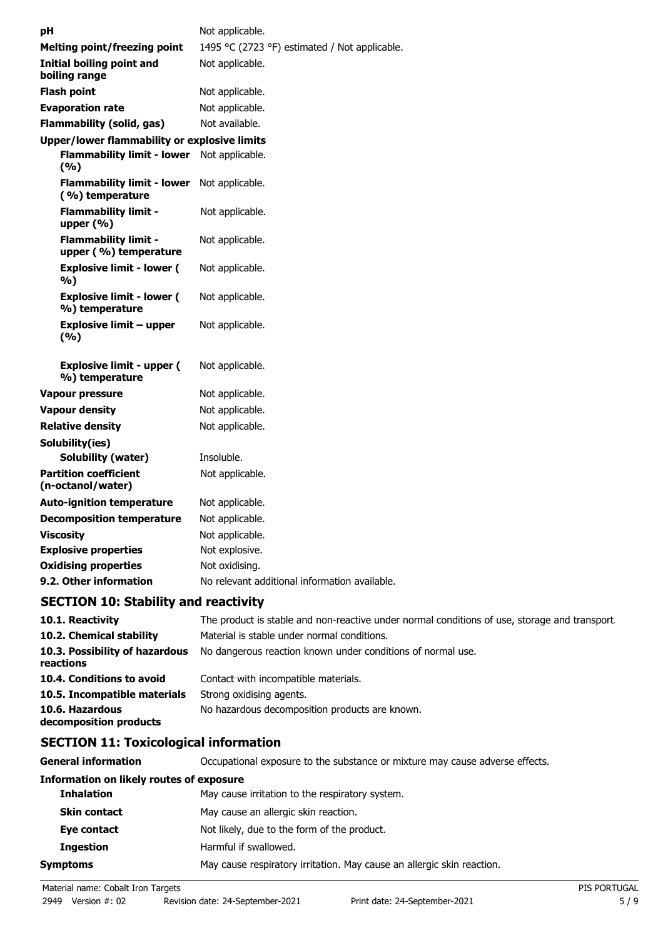| рH |                                                      | Not applicable.                               |
|----|------------------------------------------------------|-----------------------------------------------|
|    | <b>Melting point/freezing point</b>                  | 1495 °C (2723 °F) estimated / Not applicable. |
|    | <b>Initial boiling point and</b><br>boiling range    | Not applicable.                               |
|    | <b>Flash point</b>                                   | Not applicable.                               |
|    | <b>Evaporation rate</b>                              | Not applicable.                               |
|    | <b>Flammability (solid, gas)</b>                     | Not available.                                |
|    | <b>Upper/lower flammability or explosive limits</b>  |                                               |
|    | <b>Flammability limit - lower</b><br>(%)             | Not applicable.                               |
|    | <b>Flammability limit - lower</b><br>(%) temperature | Not applicable.                               |
|    | <b>Flammability limit -</b><br>upper (%)             | Not applicable.                               |
|    | <b>Flammability limit -</b><br>upper (%) temperature | Not applicable.                               |
|    | <b>Explosive limit - lower (</b><br>%)               | Not applicable.                               |
|    | <b>Explosive limit - lower (</b><br>%) temperature   | Not applicable.                               |
|    | Explosive limit – upper<br>(%)                       | Not applicable.                               |
|    | <b>Explosive limit - upper (</b><br>%) temperature   | Not applicable.                               |
|    | <b>Vapour pressure</b>                               | Not applicable.                               |
|    | <b>Vapour density</b>                                | Not applicable.                               |
|    | <b>Relative density</b>                              | Not applicable.                               |
|    | Solubility(ies)                                      |                                               |
|    | Solubility (water)                                   | Insoluble.                                    |
|    | <b>Partition coefficient</b><br>(n-octanol/water)    | Not applicable.                               |
|    | <b>Auto-ignition temperature</b>                     | Not applicable.                               |
|    | <b>Decomposition temperature</b>                     | Not applicable.                               |
|    | <b>Viscosity</b>                                     | Not applicable.                               |
|    | <b>Explosive properties</b>                          | Not explosive.                                |
|    | <b>Oxidising properties</b>                          | Not oxidising.                                |
|    | 9.2. Other information                               | No relevant additional information available. |
|    |                                                      |                                               |

## **SECTION 10: Stability and reactivity**

| 10.1. Reactivity                            | The product is stable and non-reactive under normal conditions of use, storage and transport. |
|---------------------------------------------|-----------------------------------------------------------------------------------------------|
| 10.2. Chemical stability                    | Material is stable under normal conditions.                                                   |
| 10.3. Possibility of hazardous<br>reactions | No dangerous reaction known under conditions of normal use.                                   |
| 10.4. Conditions to avoid                   | Contact with incompatible materials.                                                          |
| 10.5. Incompatible materials                | Strong oxidising agents.                                                                      |
| 10.6. Hazardous<br>decomposition products   | No hazardous decomposition products are known.                                                |

# **SECTION 11: Toxicological information**

**General information CCCUPATION** Occupational exposure to the substance or mixture may cause adverse effects.

### **Information on likely routes of exposure**

| <b>Inhalation</b>   | May cause irritation to the respiratory system.                        |
|---------------------|------------------------------------------------------------------------|
| <b>Skin contact</b> | May cause an allergic skin reaction.                                   |
| Eye contact         | Not likely, due to the form of the product.                            |
| <b>Ingestion</b>    | Harmful if swallowed.                                                  |
| Symptoms            | May cause respiratory irritation. May cause an allergic skin reaction. |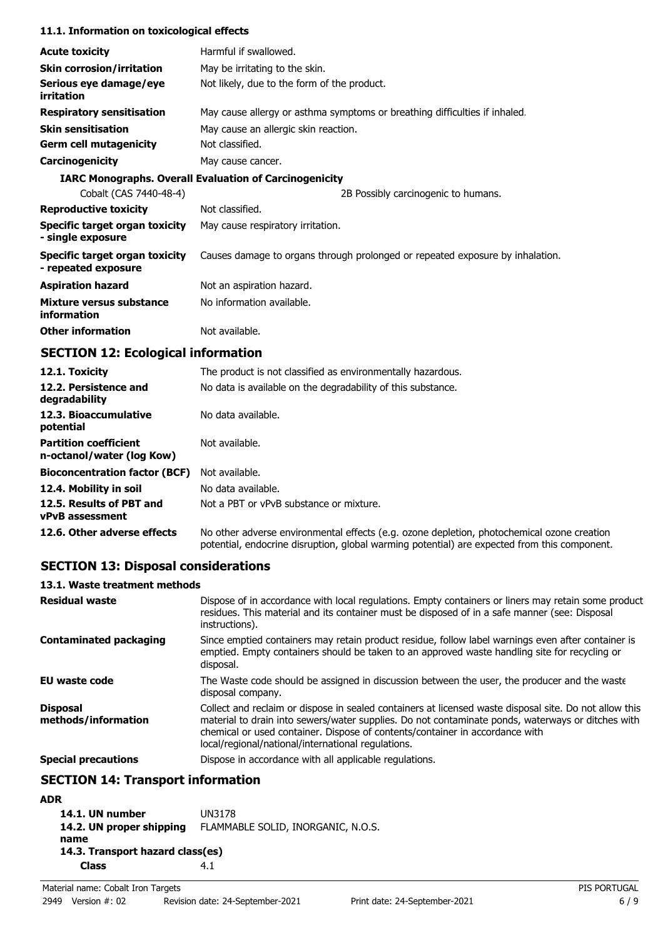#### **11.1. Information on toxicological effects**

| <b>Acute toxicity</b>                                 | Harmful if swallowed.                                                         |
|-------------------------------------------------------|-------------------------------------------------------------------------------|
| <b>Skin corrosion/irritation</b>                      | May be irritating to the skin.                                                |
| Serious eye damage/eye<br>irritation                  | Not likely, due to the form of the product.                                   |
| <b>Respiratory sensitisation</b>                      | May cause allergy or asthma symptoms or breathing difficulties if inhaled.    |
| <b>Skin sensitisation</b>                             | May cause an allergic skin reaction.                                          |
| <b>Germ cell mutagenicity</b>                         | Not classified.                                                               |
| Carcinogenicity                                       | May cause cancer.                                                             |
|                                                       | <b>IARC Monographs. Overall Evaluation of Carcinogenicity</b>                 |
| Cobalt (CAS 7440-48-4)                                | 2B Possibly carcinogenic to humans.                                           |
| <b>Reproductive toxicity</b>                          | Not classified.                                                               |
| Specific target organ toxicity<br>- single exposure   | May cause respiratory irritation.                                             |
| Specific target organ toxicity<br>- repeated exposure | Causes damage to organs through prolonged or repeated exposure by inhalation. |
| <b>Aspiration hazard</b>                              | Not an aspiration hazard.                                                     |
| Mixture versus substance<br>information               | No information available.                                                     |
| <b>Other information</b>                              | Not available.                                                                |

# **SECTION 12: Ecological information**

| 12.1. Toxicity                                            | The product is not classified as environmentally hazardous.                                                                                                                                |
|-----------------------------------------------------------|--------------------------------------------------------------------------------------------------------------------------------------------------------------------------------------------|
| 12.2. Persistence and<br>degradability                    | No data is available on the degradability of this substance.                                                                                                                               |
| 12.3. Bioaccumulative<br>potential                        | No data available.                                                                                                                                                                         |
| <b>Partition coefficient</b><br>n-octanol/water (log Kow) | Not available.                                                                                                                                                                             |
| <b>Bioconcentration factor (BCF)</b>                      | Not available.                                                                                                                                                                             |
| 12.4. Mobility in soil                                    | No data available.                                                                                                                                                                         |
| 12.5. Results of PBT and<br><b>vPvB</b> assessment        | Not a PBT or vPvB substance or mixture.                                                                                                                                                    |
| 12.6. Other adverse effects                               | No other adverse environmental effects (e.g. ozone depletion, photochemical ozone creation<br>potential, endocrine disruption, global warming potential) are expected from this component. |

# **SECTION 13: Disposal considerations**

### **13.1. Waste treatment methods**

| <b>Residual waste</b>                  | Dispose of in accordance with local regulations. Empty containers or liners may retain some product<br>residues. This material and its container must be disposed of in a safe manner (see: Disposal<br>instructions).                                                                                                                            |
|----------------------------------------|---------------------------------------------------------------------------------------------------------------------------------------------------------------------------------------------------------------------------------------------------------------------------------------------------------------------------------------------------|
| <b>Contaminated packaging</b>          | Since emptied containers may retain product residue, follow label warnings even after container is<br>emptied. Empty containers should be taken to an approved waste handling site for recycling or<br>disposal.                                                                                                                                  |
| <b>EU waste code</b>                   | The Waste code should be assigned in discussion between the user, the producer and the waste<br>disposal company.                                                                                                                                                                                                                                 |
| <b>Disposal</b><br>methods/information | Collect and reclaim or dispose in sealed containers at licensed waste disposal site. Do not allow this<br>material to drain into sewers/water supplies. Do not contaminate ponds, waterways or ditches with<br>chemical or used container. Dispose of contents/container in accordance with<br>local/regional/national/international regulations. |
| <b>Special precautions</b>             | Dispose in accordance with all applicable regulations.                                                                                                                                                                                                                                                                                            |

# **SECTION 14: Transport information**

### **ADR**

| 14.1. UN number                  | <b>UN3178</b>                      |
|----------------------------------|------------------------------------|
| 14.2. UN proper shipping         | FLAMMABLE SOLID, INORGANIC, N.O.S. |
| name                             |                                    |
| 14.3. Transport hazard class(es) |                                    |
| <b>Class</b>                     | 4.1                                |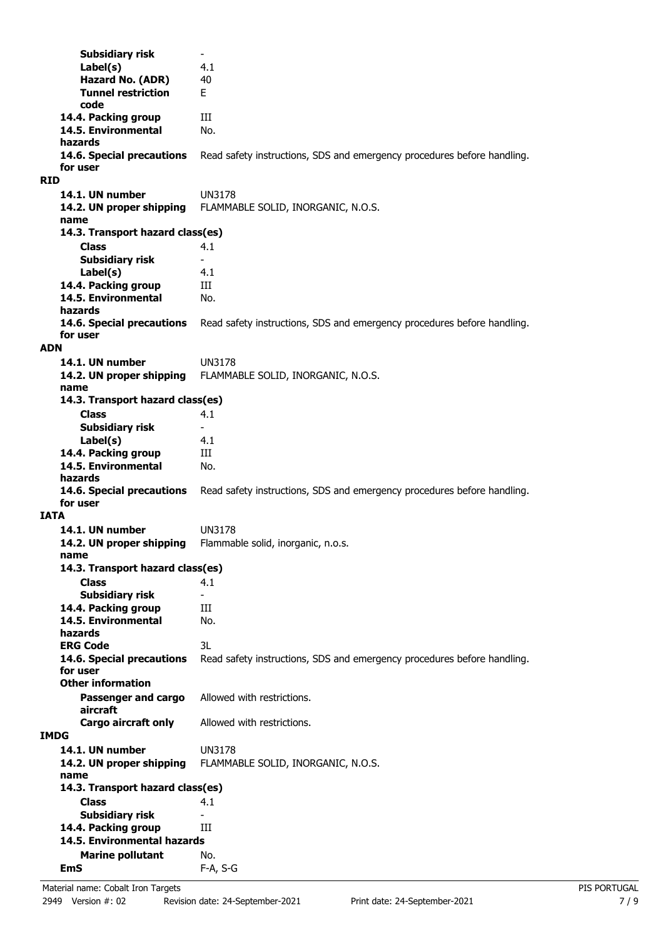**Subsidiary risk Label(s)** 4.1 **Hazard No. (ADR)** 40 **Tunnel restriction** E **code 14.4. Packing group III 14.5. Environmental** No. **hazards 14.6. Special precautions** Read safety instructions, SDS and emergency procedures before handling. **for user RID 14.1. UN number** UN3178 **14.2. UN proper shipping** FLAMMABLE SOLID, INORGANIC, N.O.S. **name Class** 4.1 **14.3. Transport hazard class(es) Subsidiary risk Label(s)** 4.1 14.4. Packing group **III 14.5. Environmental** No. **hazards 14.6. Special precautions** Read safety instructions, SDS and emergency procedures before handling. **for user ADN 14.1. UN number** UN3178 **14.2. UN proper shipping** FLAMMABLE SOLID, INORGANIC, N.O.S. **name Class** 4.1 **14.3. Transport hazard class(es) Subsidiary risk Label(s)** 4.1 **14.4. Packing group III 14.5. Environmental** No. **hazards 14.6. Special precautions** Read safety instructions, SDS and emergency procedures before handling. **for user IATA 14.1. UN number** UN3178 **14.2. UN proper shipping** Flammable solid, inorganic, n.o.s. **name Class** 4.1 **14.3. Transport hazard class(es) Subsidiary risk** 14.4. Packing group **III 14.5. Environmental** No. **hazards ERG Code** 3L **14.6. Special precautions** Read safety instructions, SDS and emergency procedures before handling. **for user Passenger and cargo** Allowed with restrictions. **aircraft Other information Cargo aircraft only** Allowed with restrictions. **IMDG 14.1. UN number** UN3178 **14.2. UN proper shipping** FLAMMABLE SOLID, INORGANIC, N.O.S. **name Class** 4.1 **14.3. Transport hazard class(es) Subsidiary risk 14.4. Packing group III Marine pollutant** No. **14.5. Environmental hazards EmS** F-A, S-G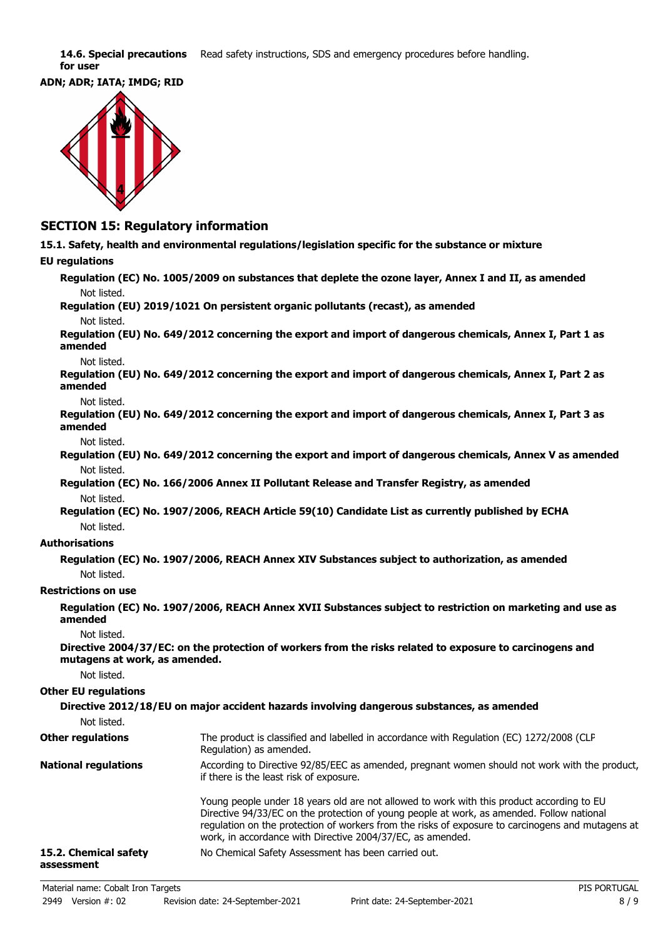14.6. Special precautions Read safety instructions, SDS and emergency procedures before handling. **for user**





### **SECTION 15: Regulatory information**

**15.1. Safety, health and environmental regulations/legislation specific for the substance or mixture**

#### **EU regulations**

**Regulation (EC) No. 1005/2009 on substances that deplete the ozone layer, Annex I and II, as amended** Not listed.

**Regulation (EU) 2019/1021 On persistent organic pollutants (recast), as amended** Not listed.

**Regulation (EU) No. 649/2012 concerning the export and import of dangerous chemicals, Annex I, Part 1 as amended**

Not listed.

**Regulation (EU) No. 649/2012 concerning the export and import of dangerous chemicals, Annex I, Part 2 as amended**

Not listed.

**Regulation (EU) No. 649/2012 concerning the export and import of dangerous chemicals, Annex I, Part 3 as amended**

Not listed.

**Regulation (EU) No. 649/2012 concerning the export and import of dangerous chemicals, Annex V as amended** Not listed.

**Regulation (EC) No. 166/2006 Annex II Pollutant Release and Transfer Registry, as amended** Not listed.

**Regulation (EC) No. 1907/2006, REACH Article 59(10) Candidate List as currently published by ECHA** Not listed.

#### **Authorisations**

**Regulation (EC) No. 1907/2006, REACH Annex XIV Substances subject to authorization, as amended** Not listed.

#### **Restrictions on use**

**Regulation (EC) No. 1907/2006, REACH Annex XVII Substances subject to restriction on marketing and use as amended**

Not listed.

**Directive 2004/37/EC: on the protection of workers from the risks related to exposure to carcinogens and mutagens at work, as amended.**

Not listed.

#### **Other EU regulations**

| Not listed.                         | Directive 2012/18/EU on major accident hazards involving dangerous substances, as amended                                                                                                                                                                                                                                                                 |
|-------------------------------------|-----------------------------------------------------------------------------------------------------------------------------------------------------------------------------------------------------------------------------------------------------------------------------------------------------------------------------------------------------------|
| <b>Other regulations</b>            | The product is classified and labelled in accordance with Regulation (EC) 1272/2008 (CLP<br>Regulation) as amended.                                                                                                                                                                                                                                       |
| <b>National regulations</b>         | According to Directive 92/85/EEC as amended, pregnant women should not work with the product,<br>if there is the least risk of exposure.                                                                                                                                                                                                                  |
|                                     | Young people under 18 years old are not allowed to work with this product according to EU<br>Directive 94/33/EC on the protection of young people at work, as amended. Follow national<br>regulation on the protection of workers from the risks of exposure to carcinogens and mutagens at<br>work, in accordance with Directive 2004/37/EC, as amended. |
| 15.2. Chemical safety<br>assessment | No Chemical Safety Assessment has been carried out.                                                                                                                                                                                                                                                                                                       |